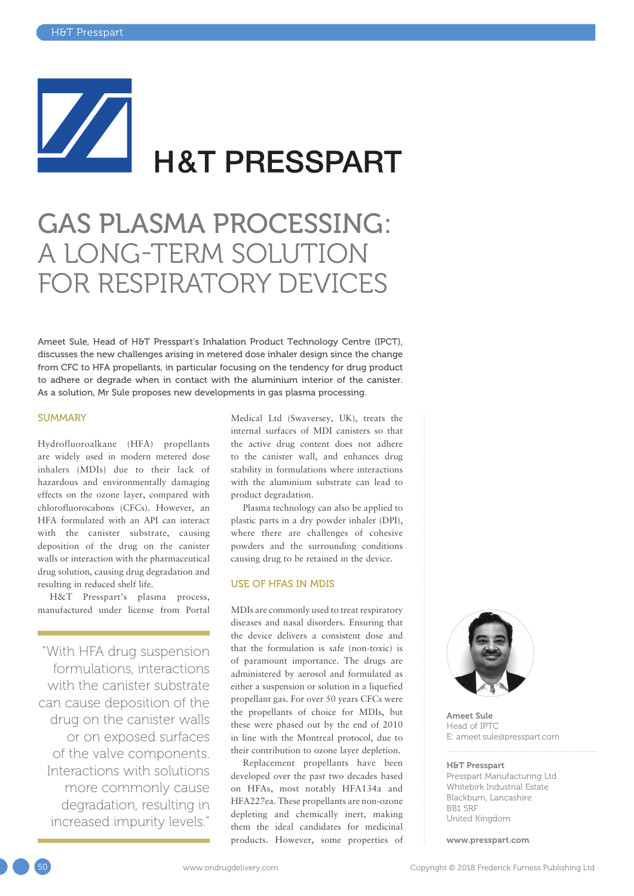# **H&T PRESSPART**

## GAS PLASMA PROCESSING: A LONG-TERM SOLUTION FOR RESPIRATORY DEVICES

Ameet Sule, Head of H&T Presspart's Inhalation Product Technology Centre (IPCT), discusses the new challenges arising in metered dose inhaler design since the change from CFC to HFA propellants, in particular focusing on the tendency for drug product to adhere or degrade when in contact with the aluminium interior of the canister. As a solution, Mr Sule proposes new developments in gas plasma processing.

#### **SUMMARY**

Hydrofluoroalkane (HFA) propellants are widely used in modern metered dose inhalers (MDIs) due to their lack of hazardous and environmentally damaging effects on the ozone layer, compared with chlorofluorocabons (CFCs). However, an HFA formulated with an API can interact with the canister substrate, causing deposition of the drug on the canister walls or interaction with the pharmaceutical drug solution, causing drug degradation and resulting in reduced shelf life.

H&T Presspart's plasma process, manufactured under license from Portal

"With HFA drug suspension formulations, interactions with the canister substrate can cause deposition of the drug on the canister walls or on exposed surfaces of the valve components. Interactions with solutions more commonly cause degradation, resulting in increased impurity levels."

Medical Ltd (Swaversey, UK), treats the internal surfaces of MDI canisters so that the active drug content does not adhere to the canister wall, and enhances drug stability in formulations where interactions with the aluminium substrate can lead to product degradation.

Plasma technology can also be applied to plastic parts in a dry powder inhaler (DPI), where there are challenges of cohesive powders and the surrounding conditions causing drug to be retained in the device.

#### USE OF HFAS IN MDIS

MDIs are commonly used to treat respiratory diseases and nasal disorders. Ensuring that the device delivers a consistent dose and that the formulation is safe (non-toxic) is of paramount importance. The drugs are administered by aerosol and formulated as either a suspension or solution in a liquefied propellant gas. For over 50 years CFCs were the propellants of choice for MDIs, but these were phased out by the end of 2010 in line with the Montreal protocol, due to their contribution to ozone layer depletion.

Replacement propellants have been developed over the past two decades based on HFAs, most notably HFA134a and HFA227ea. These propellants are non-ozone depleting and chemically inert, making them the ideal candidates for medicinal products. However, some properties of



Ameet Sule Head of IPTC E: [ameet.sule@presspart.com](mailto:ameet.sule@presspart.com ) 

#### H&T Presspart

Presspart Manufacturing Ltd Whitebirk Industrial Estate Blackburn, Lancashire BB1 5RF United Kingdom

[www.presspart.com](http://www.presspart.com)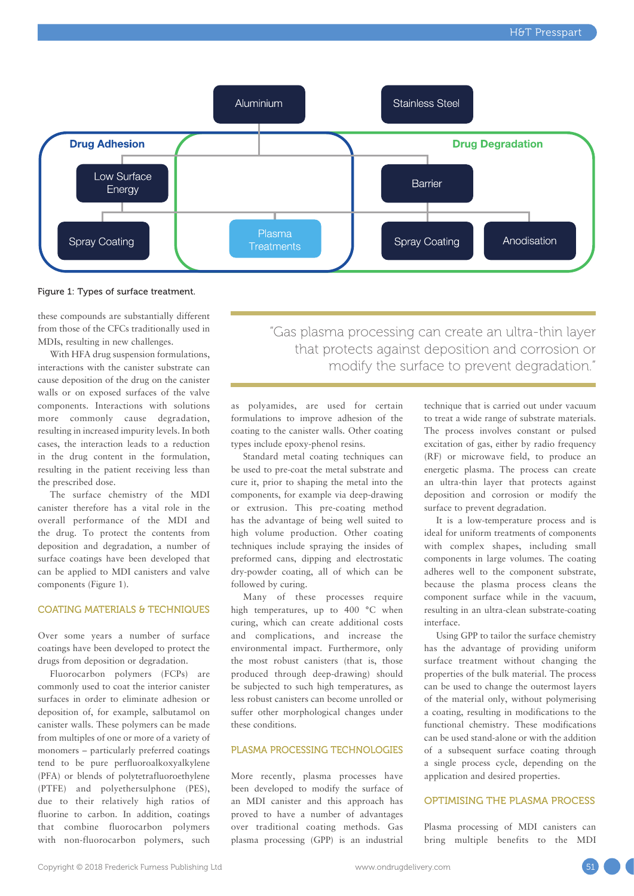

Figure 1: Types of surface treatment.

these compounds are substantially different from those of the CFCs traditionally used in MDIs, resulting in new challenges.

With HFA drug suspension formulations, interactions with the canister substrate can cause deposition of the drug on the canister walls or on exposed surfaces of the valve components. Interactions with solutions more commonly cause degradation, resulting in increased impurity levels. In both cases, the interaction leads to a reduction in the drug content in the formulation, resulting in the patient receiving less than the prescribed dose.

The surface chemistry of the MDI canister therefore has a vital role in the overall performance of the MDI and the drug. To protect the contents from deposition and degradation, a number of surface coatings have been developed that can be applied to MDI canisters and valve components (Figure 1).

#### COATING MATERIALS & TECHNIQUES

Over some years a number of surface coatings have been developed to protect the drugs from deposition or degradation.

Fluorocarbon polymers (FCPs) are commonly used to coat the interior canister surfaces in order to eliminate adhesion or deposition of, for example, salbutamol on canister walls. These polymers can be made from multiples of one or more of a variety of monomers – particularly preferred coatings tend to be pure perfluoroalkoxyalkylene (PFA) or blends of polytetrafluoroethylene (PTFE) and polyethersulphone (PES), due to their relatively high ratios of fluorine to carbon. In addition, coatings that combine fluorocarbon polymers with non-fluorocarbon polymers, such "Gas plasma processing can create an ultra-thin layer that protects against deposition and corrosion or modify the surface to prevent degradation."

as polyamides, are used for certain formulations to improve adhesion of the coating to the canister walls. Other coating types include epoxy-phenol resins.

Standard metal coating techniques can be used to pre-coat the metal substrate and cure it, prior to shaping the metal into the components, for example via deep-drawing or extrusion. This pre-coating method has the advantage of being well suited to high volume production. Other coating techniques include spraying the insides of preformed cans, dipping and electrostatic dry-powder coating, all of which can be followed by curing.

Many of these processes require high temperatures, up to 400 °C when curing, which can create additional costs and complications, and increase the environmental impact. Furthermore, only the most robust canisters (that is, those produced through deep-drawing) should be subjected to such high temperatures, as less robust canisters can become unrolled or suffer other morphological changes under these conditions.

#### PLASMA PROCESSING TECHNOLOGIES

More recently, plasma processes have been developed to modify the surface of an MDI canister and this approach has proved to have a number of advantages over traditional coating methods. Gas plasma processing (GPP) is an industrial

technique that is carried out under vacuum to treat a wide range of substrate materials. The process involves constant or pulsed excitation of gas, either by radio frequency (RF) or microwave field, to produce an energetic plasma. The process can create an ultra-thin layer that protects against deposition and corrosion or modify the surface to prevent degradation.

It is a low-temperature process and is ideal for uniform treatments of components with complex shapes, including small components in large volumes. The coating adheres well to the component substrate, because the plasma process cleans the component surface while in the vacuum, resulting in an ultra-clean substrate-coating interface.

Using GPP to tailor the surface chemistry has the advantage of providing uniform surface treatment without changing the properties of the bulk material. The process can be used to change the outermost layers of the material only, without polymerising a coating, resulting in modifications to the functional chemistry. These modifications can be used stand-alone or with the addition of a subsequent surface coating through a single process cycle, depending on the application and desired properties.

#### OPTIMISING THE PLASMA PROCESS

Plasma processing of MDI canisters can bring multiple benefits to the MDI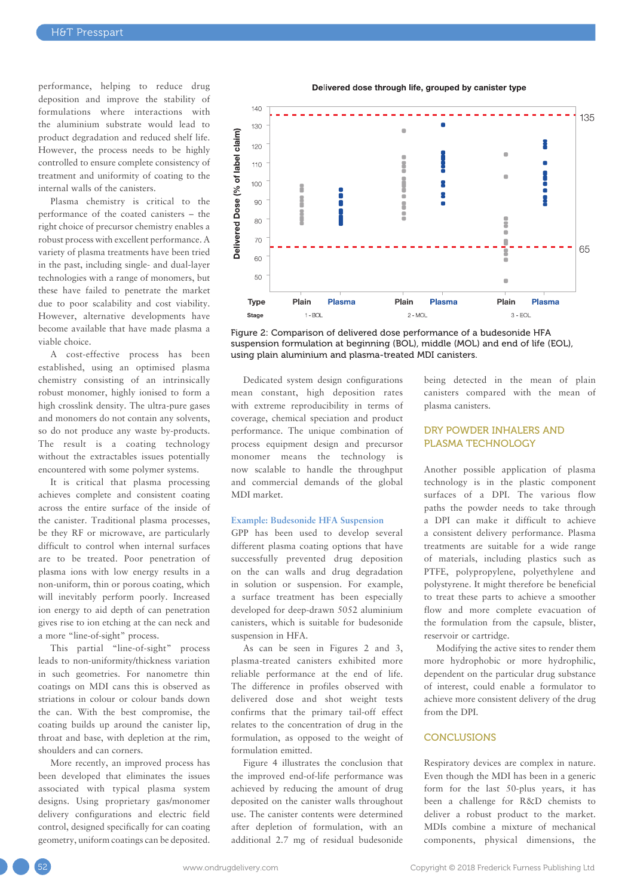performance, helping to reduce drug deposition and improve the stability of formulations where interactions with the aluminium substrate would lead to product degradation and reduced shelf life. However, the process needs to be highly controlled to ensure complete consistency of treatment and uniformity of coating to the internal walls of the canisters.

Plasma chemistry is critical to the performance of the coated canisters – the right choice of precursor chemistry enables a robust process with excellent performance. A variety of plasma treatments have been tried in the past, including single- and dual-layer technologies with a range of monomers, but these have failed to penetrate the market due to poor scalability and cost viability. However, alternative developments have become available that have made plasma a viable choice.

A cost-effective process has been established, using an optimised plasma chemistry consisting of an intrinsically robust monomer, highly ionised to form a high crosslink density. The ultra-pure gases and monomers do not contain any solvents, so do not produce any waste by-products. The result is a coating technology without the extractables issues potentially encountered with some polymer systems.

It is critical that plasma processing achieves complete and consistent coating across the entire surface of the inside of the canister. Traditional plasma processes, be they RF or microwave, are particularly difficult to control when internal surfaces are to be treated. Poor penetration of plasma ions with low energy results in a non-uniform, thin or porous coating, which will inevitably perform poorly. Increased ion energy to aid depth of can penetration gives rise to ion etching at the can neck and a more "line-of-sight" process.

This partial "line-of-sight" process leads to non-uniformity/thickness variation in such geometries. For nanometre thin coatings on MDI cans this is observed as striations in colour or colour bands down the can. With the best compromise, the coating builds up around the canister lip, throat and base, with depletion at the rim, shoulders and can corners.

More recently, an improved process has been developed that eliminates the issues associated with typical plasma system designs. Using proprietary gas/monomer delivery configurations and electric field control, designed specifically for can coating geometry, uniform coatings can be deposited.

Delivered dose through life, grouped by canister type



Figure 2: Comparison of delivered dose performance of a budesonide HFA suspension formulation at beginning (BOL), middle (MOL) and end of life (EOL), using plain aluminium and plasma-treated MDI canisters.

Dedicated system design configurations mean constant, high deposition rates with extreme reproducibility in terms of coverage, chemical speciation and product performance. The unique combination of process equipment design and precursor monomer means the technology is now scalable to handle the throughput and commercial demands of the global MDI market.

#### **Example: Budesonide HFA Suspension**

GPP has been used to develop several different plasma coating options that have successfully prevented drug deposition on the can walls and drug degradation in solution or suspension. For example, a surface treatment has been especially developed for deep-drawn 5052 aluminium canisters, which is suitable for budesonide suspension in HFA.

As can be seen in Figures 2 and 3, plasma-treated canisters exhibited more reliable performance at the end of life. The difference in profiles observed with delivered dose and shot weight tests confirms that the primary tail-off effect relates to the concentration of drug in the formulation, as opposed to the weight of formulation emitted.

Figure 4 illustrates the conclusion that the improved end-of-life performance was achieved by reducing the amount of drug deposited on the canister walls throughout use. The canister contents were determined after depletion of formulation, with an additional 2.7 mg of residual budesonide

being detected in the mean of plain canisters compared with the mean of plasma canisters.

#### DRY POWDER INHALERS AND PLASMA TECHNOLOGY

Another possible application of plasma technology is in the plastic component surfaces of a DPI. The various flow paths the powder needs to take through a DPI can make it difficult to achieve a consistent delivery performance. Plasma treatments are suitable for a wide range of materials, including plastics such as PTFE, polypropylene, polyethylene and polystyrene. It might therefore be beneficial to treat these parts to achieve a smoother flow and more complete evacuation of the formulation from the capsule, blister, reservoir or cartridge.

Modifying the active sites to render them more hydrophobic or more hydrophilic, dependent on the particular drug substance of interest, could enable a formulator to achieve more consistent delivery of the drug from the DPI.

#### **CONCLUSIONS**

Respiratory devices are complex in nature. Even though the MDI has been in a generic form for the last 50-plus years, it has been a challenge for R&D chemists to deliver a robust product to the market. MDIs combine a mixture of mechanical components, physical dimensions, the